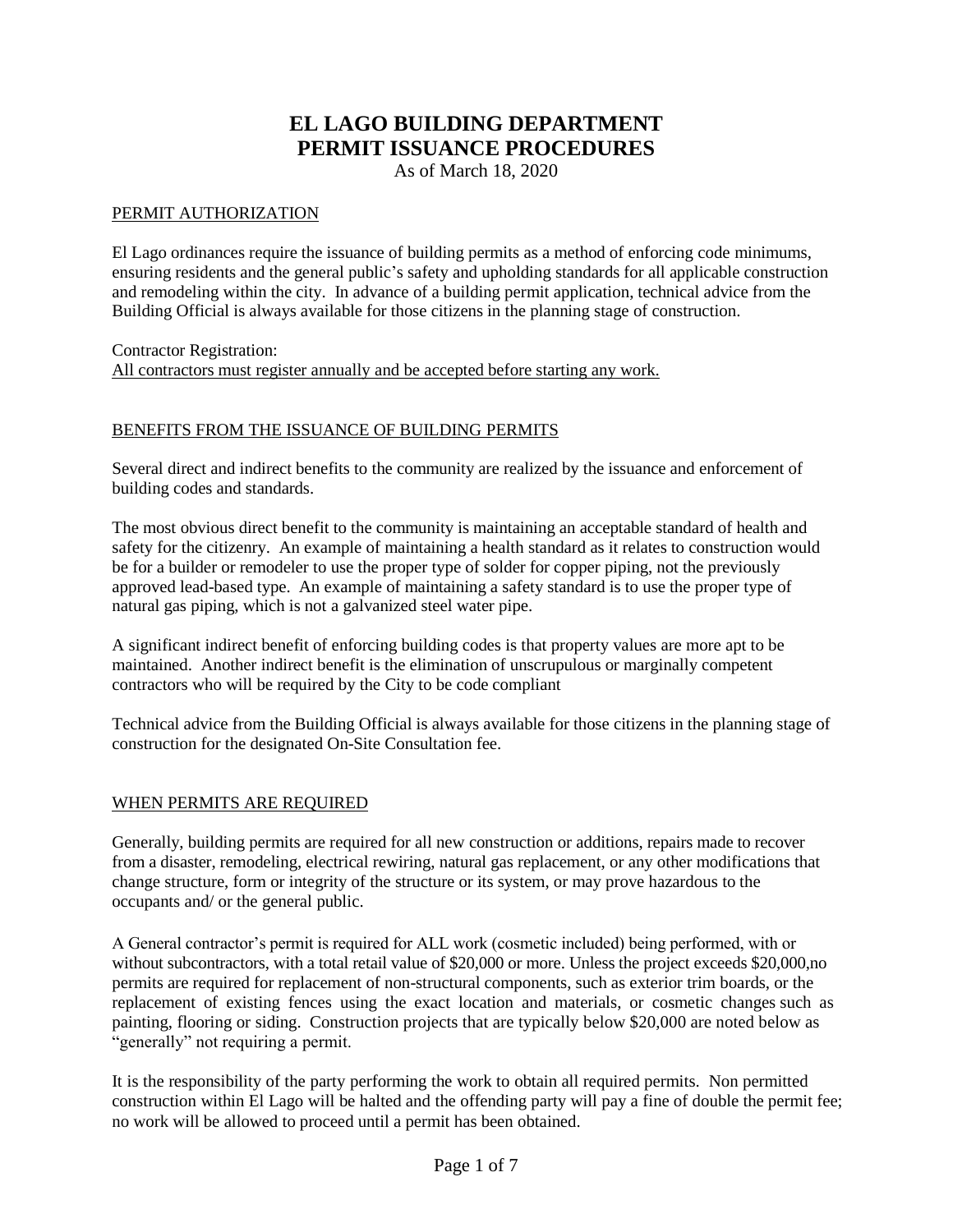# **EL LAGO BUILDING DEPARTMENT PERMIT ISSUANCE PROCEDURES**

As of March 18, 2020

#### PERMIT AUTHORIZATION

El Lago ordinances require the issuance of building permits as a method of enforcing code minimums, ensuring residents and the general public's safety and upholding standards for all applicable construction and remodeling within the city. In advance of a building permit application, technical advice from the Building Official is always available for those citizens in the planning stage of construction.

Contractor Registration: All contractors must register annually and be accepted before starting any work.

#### BENEFITS FROM THE ISSUANCE OF BUILDING PERMITS

Several direct and indirect benefits to the community are realized by the issuance and enforcement of building codes and standards.

The most obvious direct benefit to the community is maintaining an acceptable standard of health and safety for the citizenry. An example of maintaining a health standard as it relates to construction would be for a builder or remodeler to use the proper type of solder for copper piping, not the previously approved lead-based type. An example of maintaining a safety standard is to use the proper type of natural gas piping, which is not a galvanized steel water pipe.

A significant indirect benefit of enforcing building codes is that property values are more apt to be maintained. Another indirect benefit is the elimination of unscrupulous or marginally competent contractors who will be required by the City to be code compliant

Technical advice from the Building Official is always available for those citizens in the planning stage of construction for the designated On-Site Consultation fee.

# WHEN PERMITS ARE REQUIRED

Generally, building permits are required for all new construction or additions, repairs made to recover from a disaster, remodeling, electrical rewiring, natural gas replacement, or any other modifications that change structure, form or integrity of the structure or its system, or may prove hazardous to the occupants and/ or the general public.

A General contractor's permit is required for ALL work (cosmetic included) being performed, with or without subcontractors, with a total retail value of \$20,000 or more. Unless the project exceeds \$20,000,no permits are required for replacement of non-structural components, such as exterior trim boards, or the replacement of existing fences using the exact location and materials, or cosmetic changes such as painting, flooring or siding. Construction projects that are typically below \$20,000 are noted below as "generally" not requiring a permit.

It is the responsibility of the party performing the work to obtain all required permits. Non permitted construction within El Lago will be halted and the offending party will pay a fine of double the permit fee; no work will be allowed to proceed until a permit has been obtained.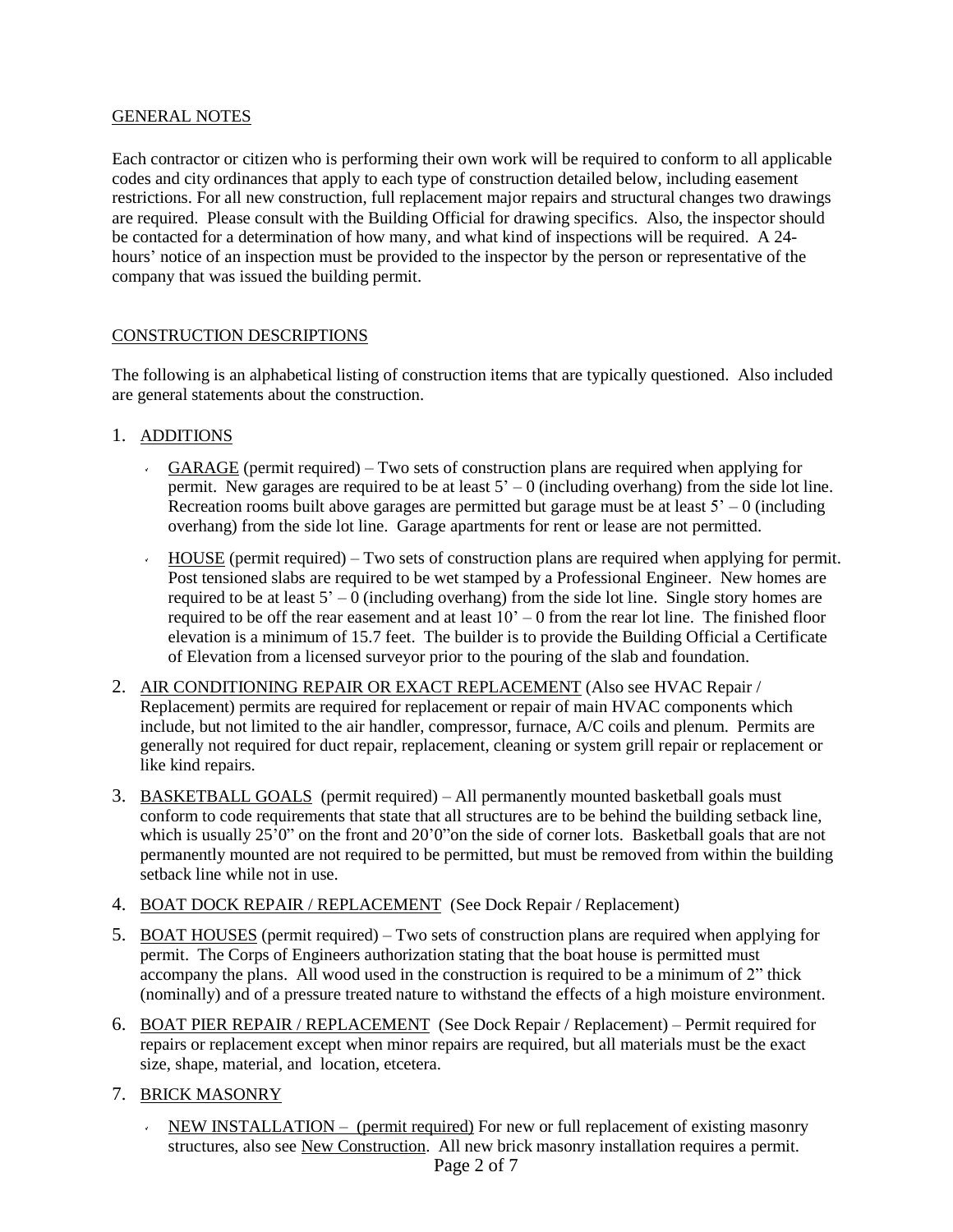# GENERAL NOTES

Each contractor or citizen who is performing their own work will be required to conform to all applicable codes and city ordinances that apply to each type of construction detailed below, including easement restrictions. For all new construction, full replacement major repairs and structural changes two drawings are required. Please consult with the Building Official for drawing specifics. Also, the inspector should be contacted for a determination of how many, and what kind of inspections will be required. A 24 hours' notice of an inspection must be provided to the inspector by the person or representative of the company that was issued the building permit.

# CONSTRUCTION DESCRIPTIONS

The following is an alphabetical listing of construction items that are typically questioned. Also included are general statements about the construction.

- 1. ADDITIONS
	- GARAGE (permit required) Two sets of construction plans are required when applying for permit. New garages are required to be at least  $5' - 0$  (including overhang) from the side lot line. Recreation rooms built above garages are permitted but garage must be at least  $5' - 0$  (including overhang) from the side lot line. Garage apartments for rent or lease are not permitted.
	- $HOLSE$  (permit required) Two sets of construction plans are required when applying for permit. Post tensioned slabs are required to be wet stamped by a Professional Engineer. New homes are required to be at least  $5' - 0$  (including overhang) from the side lot line. Single story homes are required to be off the rear easement and at least  $10' - 0$  from the rear lot line. The finished floor elevation is a minimum of 15.7 feet. The builder is to provide the Building Official a Certificate of Elevation from a licensed surveyor prior to the pouring of the slab and foundation.
- 2. AIR CONDITIONING REPAIR OR EXACT REPLACEMENT (Also see HVAC Repair / Replacement) permits are required for replacement or repair of main HVAC components which include, but not limited to the air handler, compressor, furnace, A/C coils and plenum. Permits are generally not required for duct repair, replacement, cleaning or system grill repair or replacement or like kind repairs.
- 3. BASKETBALL GOALS (permit required) All permanently mounted basketball goals must conform to code requirements that state that all structures are to be behind the building setback line, which is usually 25'0" on the front and 20'0" on the side of corner lots. Basketball goals that are not permanently mounted are not required to be permitted, but must be removed from within the building setback line while not in use.
- 4. BOAT DOCK REPAIR / REPLACEMENT (See Dock Repair / Replacement)
- 5. BOAT HOUSES (permit required) Two sets of construction plans are required when applying for permit. The Corps of Engineers authorization stating that the boat house is permitted must accompany the plans. All wood used in the construction is required to be a minimum of 2" thick (nominally) and of a pressure treated nature to withstand the effects of a high moisture environment.
- 6. BOAT PIER REPAIR / REPLACEMENT (See Dock Repair / Replacement) Permit required for repairs or replacement except when minor repairs are required, but all materials must be the exact size, shape, material, and location, etcetera.
- 7. BRICK MASONRY
	- Page 2 of 7  $\cdot$  NEW INSTALLATION – (permit required) For new or full replacement of existing masonry structures, also see New Construction. All new brick masonry installation requires a permit.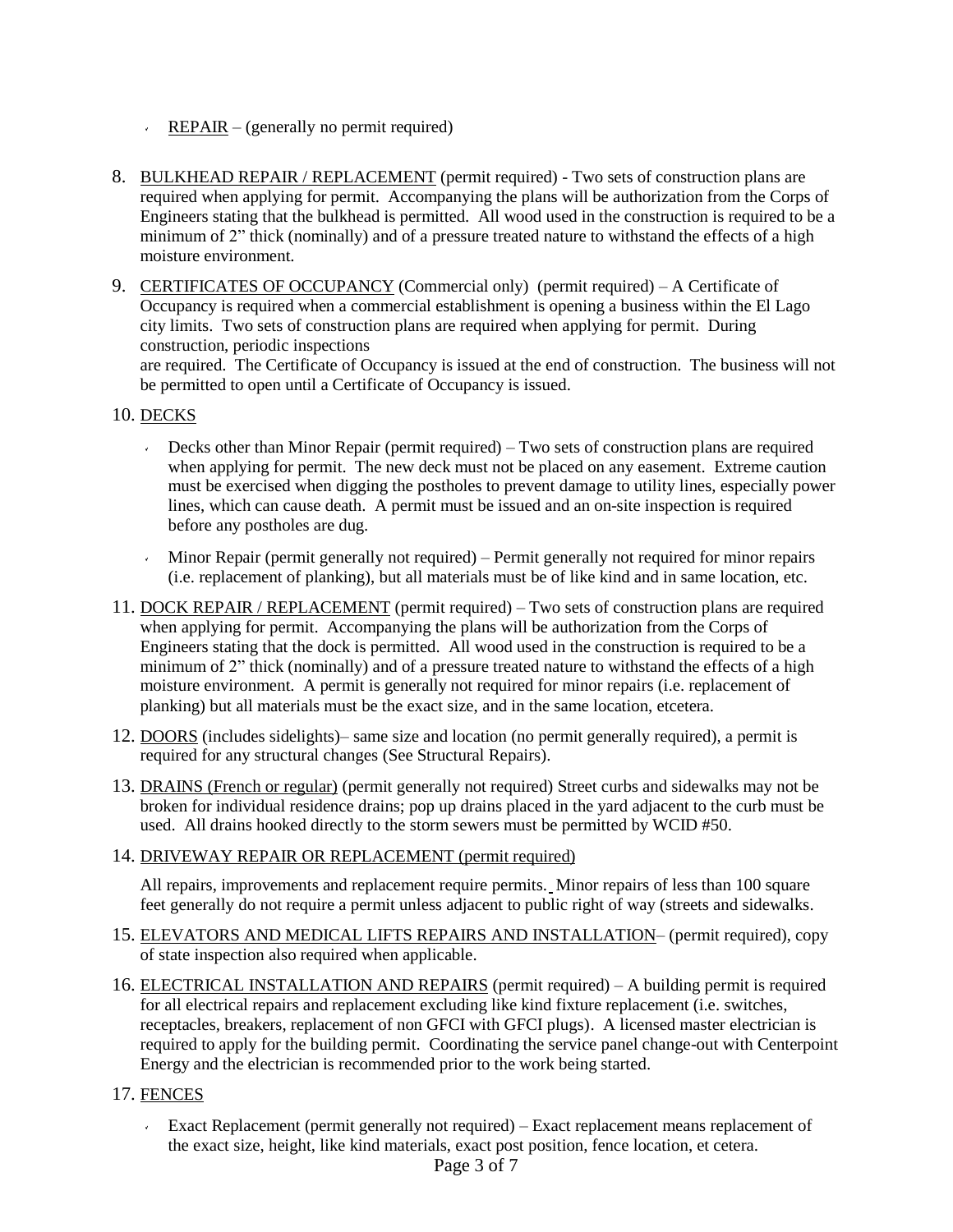- REPAIR (generally no permit required)
- 8. BULKHEAD REPAIR / REPLACEMENT (permit required) Two sets of construction plans are required when applying for permit. Accompanying the plans will be authorization from the Corps of Engineers stating that the bulkhead is permitted. All wood used in the construction is required to be a minimum of 2" thick (nominally) and of a pressure treated nature to withstand the effects of a high moisture environment.
- 9. CERTIFICATES OF OCCUPANCY (Commercial only) (permit required) A Certificate of Occupancy is required when a commercial establishment is opening a business within the El Lago city limits. Two sets of construction plans are required when applying for permit. During construction, periodic inspections are required. The Certificate of Occupancy is issued at the end of construction. The business will not

be permitted to open until a Certificate of Occupancy is issued.

#### 10. DECKS

- Decks other than Minor Repair (permit required) Two sets of construction plans are required when applying for permit. The new deck must not be placed on any easement. Extreme caution must be exercised when digging the postholes to prevent damage to utility lines, especially power lines, which can cause death. A permit must be issued and an on-site inspection is required before any postholes are dug.
- Minor Repair (permit generally not required) Permit generally not required for minor repairs  $\epsilon$ (i.e. replacement of planking), but all materials must be of like kind and in same location, etc.
- 11. DOCK REPAIR / REPLACEMENT (permit required) Two sets of construction plans are required when applying for permit. Accompanying the plans will be authorization from the Corps of Engineers stating that the dock is permitted. All wood used in the construction is required to be a minimum of 2" thick (nominally) and of a pressure treated nature to withstand the effects of a high moisture environment. A permit is generally not required for minor repairs (i.e. replacement of planking) but all materials must be the exact size, and in the same location, etcetera.
- 12. DOORS (includes sidelights)– same size and location (no permit generally required), a permit is required for any structural changes (See Structural Repairs).
- 13. DRAINS (French or regular) (permit generally not required) Street curbs and sidewalks may not be broken for individual residence drains; pop up drains placed in the yard adjacent to the curb must be used. All drains hooked directly to the storm sewers must be permitted by WCID #50.
- 14. DRIVEWAY REPAIR OR REPLACEMENT (permit required)

All repairs, improvements and replacement require permits. Minor repairs of less than 100 square feet generally do not require a permit unless adjacent to public right of way (streets and sidewalks.

- 15. ELEVATORS AND MEDICAL LIFTS REPAIRS AND INSTALLATION– (permit required), copy of state inspection also required when applicable.
- 16. ELECTRICAL INSTALLATION AND REPAIRS (permit required) A building permit is required for all electrical repairs and replacement excluding like kind fixture replacement (i.e. switches, receptacles, breakers, replacement of non GFCI with GFCI plugs). A licensed master electrician is required to apply for the building permit. Coordinating the service panel change-out with Centerpoint Energy and the electrician is recommended prior to the work being started.

#### 17. FENCES

Exact Replacement (permit generally not required) – Exact replacement means replacement of the exact size, height, like kind materials, exact post position, fence location, et cetera.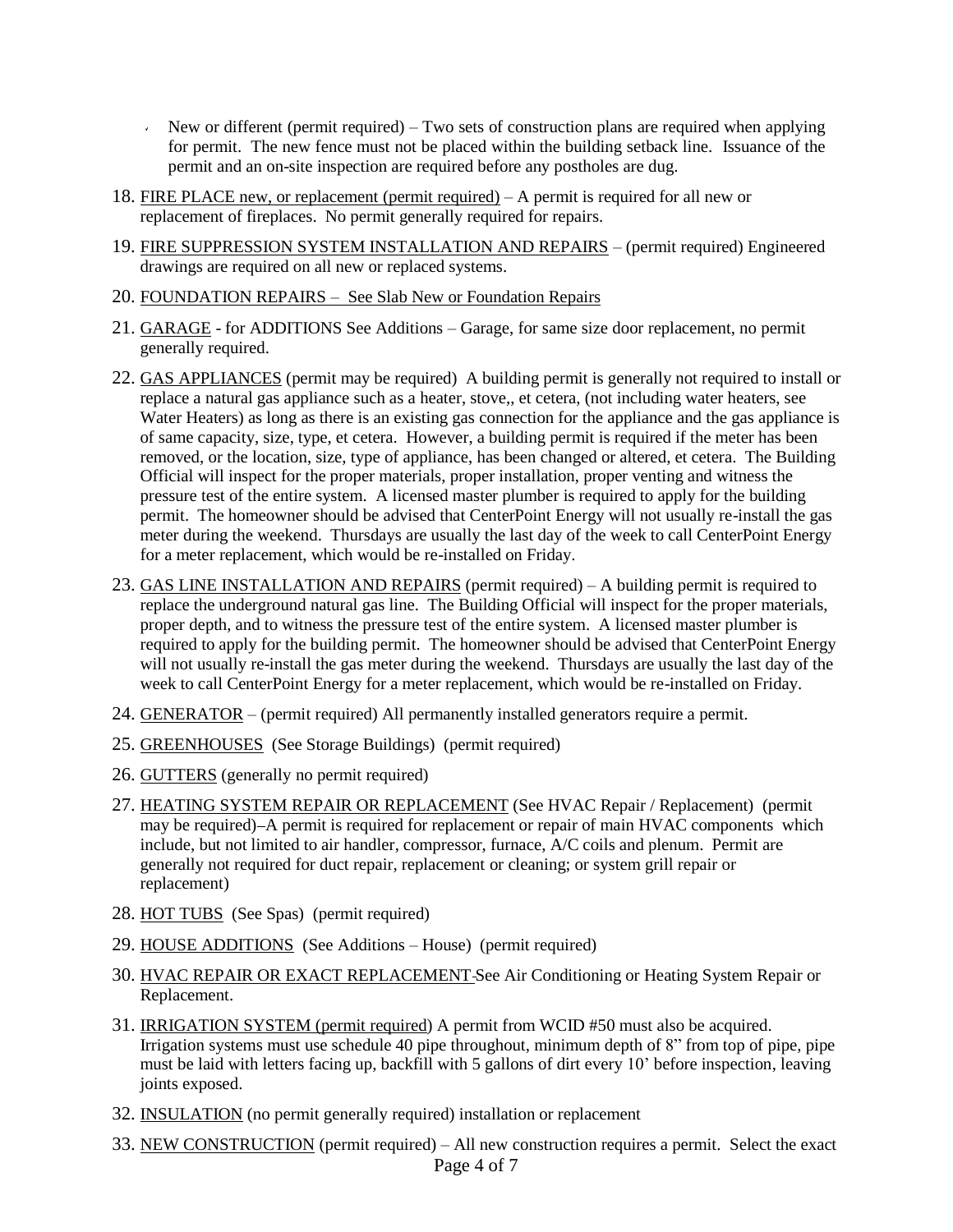- New or different (permit required) Two sets of construction plans are required when applying for permit. The new fence must not be placed within the building setback line. Issuance of the permit and an on-site inspection are required before any postholes are dug.
- 18. FIRE PLACE new, or replacement (permit required) A permit is required for all new or replacement of fireplaces. No permit generally required for repairs.
- 19. FIRE SUPPRESSION SYSTEM INSTALLATION AND REPAIRS (permit required) Engineered drawings are required on all new or replaced systems.
- 20. FOUNDATION REPAIRS See Slab New or Foundation Repairs
- 21. GARAGE for ADDITIONS See Additions Garage, for same size door replacement, no permit generally required.
- 22. GAS APPLIANCES (permit may be required) A building permit is generally not required to install or replace a natural gas appliance such as a heater, stove,, et cetera, (not including water heaters, see Water Heaters) as long as there is an existing gas connection for the appliance and the gas appliance is of same capacity, size, type, et cetera. However, a building permit is required if the meter has been removed, or the location, size, type of appliance, has been changed or altered, et cetera. The Building Official will inspect for the proper materials, proper installation, proper venting and witness the pressure test of the entire system. A licensed master plumber is required to apply for the building permit. The homeowner should be advised that CenterPoint Energy will not usually re-install the gas meter during the weekend. Thursdays are usually the last day of the week to call CenterPoint Energy for a meter replacement, which would be re-installed on Friday.
- 23. GAS LINE INSTALLATION AND REPAIRS (permit required) A building permit is required to replace the underground natural gas line. The Building Official will inspect for the proper materials, proper depth, and to witness the pressure test of the entire system. A licensed master plumber is required to apply for the building permit. The homeowner should be advised that CenterPoint Energy will not usually re-install the gas meter during the weekend. Thursdays are usually the last day of the week to call CenterPoint Energy for a meter replacement, which would be re-installed on Friday.
- 24. GENERATOR (permit required) All permanently installed generators require a permit.
- 25. GREENHOUSES (See Storage Buildings) (permit required)
- 26. GUTTERS (generally no permit required)
- 27. HEATING SYSTEM REPAIR OR REPLACEMENT (See HVAC Repair / Replacement) (permit may be required)–A permit is required for replacement or repair of main HVAC components which include, but not limited to air handler, compressor, furnace, A/C coils and plenum. Permit are generally not required for duct repair, replacement or cleaning; or system grill repair or replacement)
- 28. HOT TUBS (See Spas) (permit required)
- 29. HOUSE ADDITIONS (See Additions House) (permit required)
- 30. HVAC REPAIR OR EXACT REPLACEMENT See Air Conditioning or Heating System Repair or Replacement.
- 31. IRRIGATION SYSTEM (permit required) A permit from WCID #50 must also be acquired. Irrigation systems must use schedule 40 pipe throughout, minimum depth of 8" from top of pipe, pipe must be laid with letters facing up, backfill with 5 gallons of dirt every 10' before inspection, leaving joints exposed.
- 32. INSULATION (no permit generally required) installation or replacement
- 33. NEW CONSTRUCTION (permit required) All new construction requires a permit. Select the exact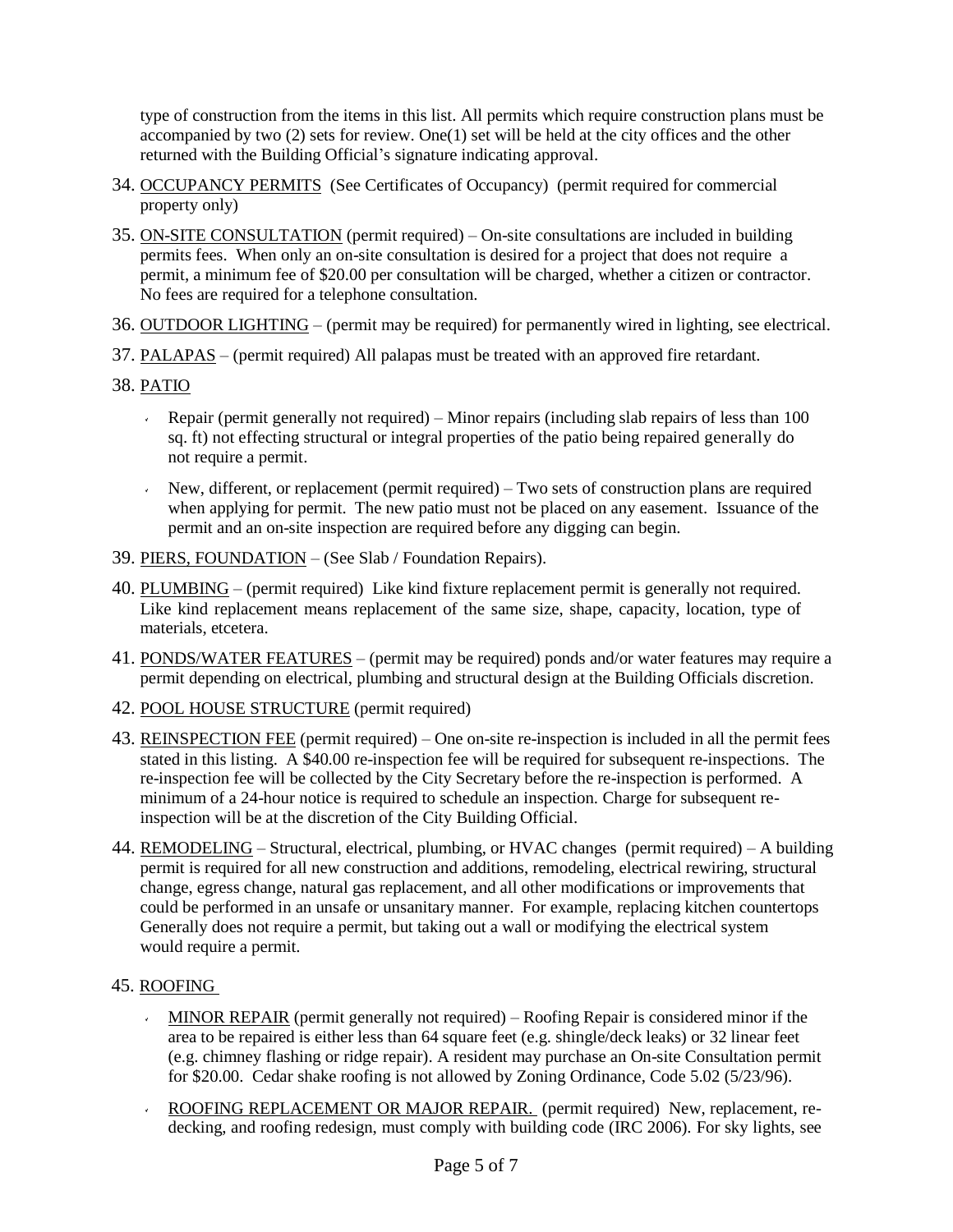type of construction from the items in this list. All permits which require construction plans must be accompanied by two (2) sets for review. One(1) set will be held at the city offices and the other returned with the Building Official's signature indicating approval.

- 34. OCCUPANCY PERMITS (See Certificates of Occupancy) (permit required for commercial property only)
- 35. ON-SITE CONSULTATION (permit required) On-site consultations are included in building permits fees. When only an on-site consultation is desired for a project that does not require a permit, a minimum fee of \$20.00 per consultation will be charged, whether a citizen or contractor. No fees are required for a telephone consultation.
- 36. OUTDOOR LIGHTING (permit may be required) for permanently wired in lighting, see electrical.
- 37. PALAPAS (permit required) All palapas must be treated with an approved fire retardant.
- 38. PATIO
	- Repair (permit generally not required) Minor repairs (including slab repairs of less than 100 sq. ft) not effecting structural or integral properties of the patio being repaired generally do not require a permit.
	- New, different, or replacement (permit required) Two sets of construction plans are required  $\epsilon$ when applying for permit. The new patio must not be placed on any easement. Issuance of the permit and an on-site inspection are required before any digging can begin.
- 39. PIERS, FOUNDATION (See Slab / Foundation Repairs).
- 40. PLUMBING (permit required) Like kind fixture replacement permit is generally not required. Like kind replacement means replacement of the same size, shape, capacity, location, type of materials, etcetera.
- 41. PONDS/WATER FEATURES (permit may be required) ponds and/or water features may require a permit depending on electrical, plumbing and structural design at the Building Officials discretion.
- 42. POOL HOUSE STRUCTURE (permit required)
- 43. REINSPECTION FEE (permit required) One on-site re-inspection is included in all the permit fees stated in this listing. A \$40.00 re-inspection fee will be required for subsequent re-inspections. The re-inspection fee will be collected by the City Secretary before the re-inspection is performed. A minimum of a 24-hour notice is required to schedule an inspection. Charge for subsequent reinspection will be at the discretion of the City Building Official.
- 44. REMODELING Structural, electrical, plumbing, or HVAC changes (permit required) A building permit is required for all new construction and additions, remodeling, electrical rewiring, structural change, egress change, natural gas replacement, and all other modifications or improvements that could be performed in an unsafe or unsanitary manner. For example, replacing kitchen countertops Generally does not require a permit, but taking out a wall or modifying the electrical system would require a permit.

# 45. ROOFING

- $\cdot$  MINOR REPAIR (permit generally not required) Roofing Repair is considered minor if the area to be repaired is either less than 64 square feet (e.g. shingle/deck leaks) or 32 linear feet (e.g. chimney flashing or ridge repair). A resident may purchase an On-site Consultation permit for \$20.00. Cedar shake roofing is not allowed by Zoning Ordinance, Code 5.02 (5/23/96).
- ROOFING REPLACEMENT OR MAJOR REPAIR. (permit required) New, replacement, rek. decking, and roofing redesign, must comply with building code (IRC 2006). For sky lights, see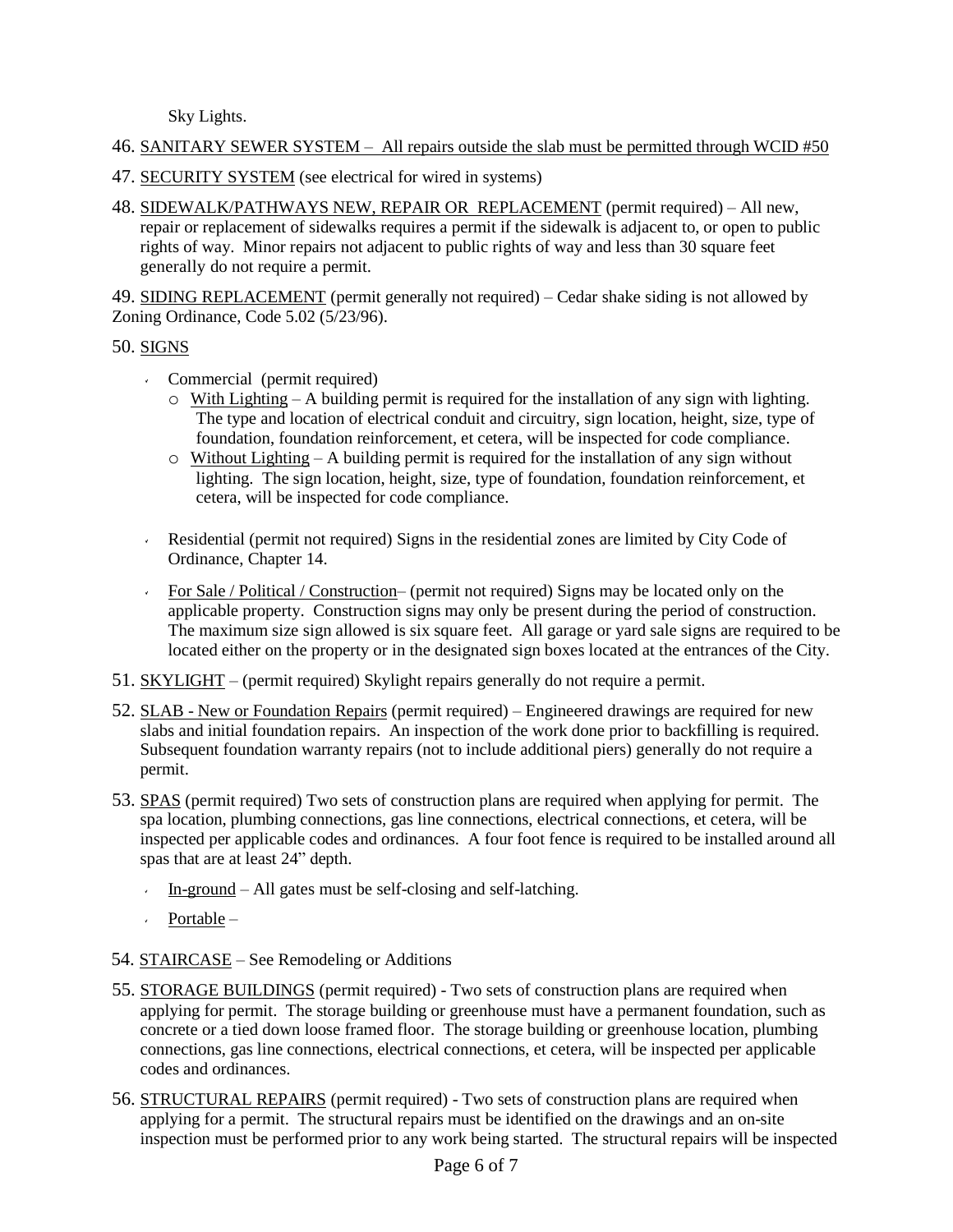Sky Lights.

# 46. SANITARY SEWER SYSTEM – All repairs outside the slab must be permitted through WCID #50

- 47. SECURITY SYSTEM (see electrical for wired in systems)
- 48. SIDEWALK/PATHWAYS NEW, REPAIR OR REPLACEMENT (permit required) All new, repair or replacement of sidewalks requires a permit if the sidewalk is adjacent to, or open to public rights of way. Minor repairs not adjacent to public rights of way and less than 30 square feet generally do not require a permit.

49. SIDING REPLACEMENT (permit generally not required) – Cedar shake siding is not allowed by Zoning Ordinance, Code 5.02 (5/23/96).

# 50. SIGNS

- Commercial (permit required)
	- $\circ$  With Lighting A building permit is required for the installation of any sign with lighting. The type and location of electrical conduit and circuitry, sign location, height, size, type of foundation, foundation reinforcement, et cetera, will be inspected for code compliance.
	- o Without Lighting A building permit is required for the installation of any sign without lighting. The sign location, height, size, type of foundation, foundation reinforcement, et cetera, will be inspected for code compliance.
- Residential (permit not required) Signs in the residential zones are limited by City Code of Ordinance, Chapter 14.
- For Sale / Political / Construction– (permit not required) Signs may be located only on the applicable property. Construction signs may only be present during the period of construction. The maximum size sign allowed is six square feet. All garage or yard sale signs are required to be located either on the property or in the designated sign boxes located at the entrances of the City.
- 51. SKYLIGHT (permit required) Skylight repairs generally do not require a permit.
- 52. SLAB New or Foundation Repairs (permit required) Engineered drawings are required for new slabs and initial foundation repairs. An inspection of the work done prior to backfilling is required. Subsequent foundation warranty repairs (not to include additional piers) generally do not require a permit.
- 53. SPAS (permit required) Two sets of construction plans are required when applying for permit. The spa location, plumbing connections, gas line connections, electrical connections, et cetera, will be inspected per applicable codes and ordinances. A four foot fence is required to be installed around all spas that are at least 24" depth.
	- In-ground All gates must be self-closing and self-latching.  $\mathbf{v}^{\top}$
	- Portable  $\mathbf{v}$
- 54. STAIRCASE See Remodeling or Additions
- 55. STORAGE BUILDINGS (permit required) Two sets of construction plans are required when applying for permit. The storage building or greenhouse must have a permanent foundation, such as concrete or a tied down loose framed floor. The storage building or greenhouse location, plumbing connections, gas line connections, electrical connections, et cetera, will be inspected per applicable codes and ordinances.
- 56. STRUCTURAL REPAIRS (permit required) Two sets of construction plans are required when applying for a permit. The structural repairs must be identified on the drawings and an on-site inspection must be performed prior to any work being started. The structural repairs will be inspected